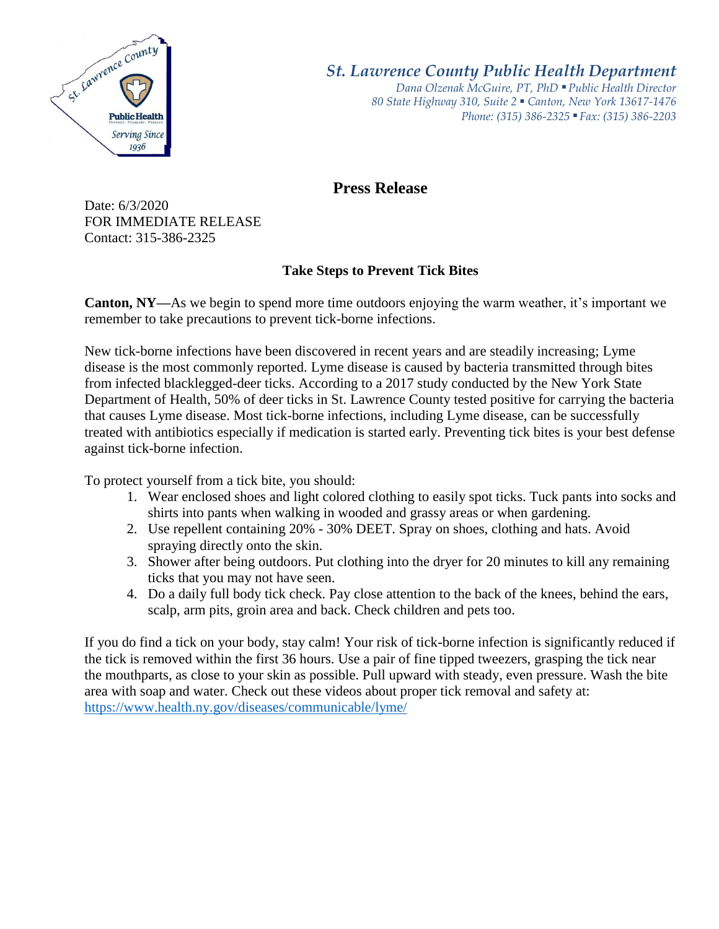

*St. Lawrence County Public Health Department*

*Dana Olzenak McGuire, PT, PhD ■ Public Health Director 80 State Highway 310, Suite 2 ■ Canton, New York 13617-1476 Phone: (315) 386-2325* ■ *Fax: (315) 386-2203*

## **Press Release**

Date: 6/3/2020 FOR IMMEDIATE RELEASE Contact: 315-386-2325

## **Take Steps to Prevent Tick Bites**

**Canton, NY—**As we begin to spend more time outdoors enjoying the warm weather, it's important we remember to take precautions to prevent tick-borne infections.

New tick-borne infections have been discovered in recent years and are steadily increasing; Lyme disease is the most commonly reported. Lyme disease is caused by bacteria transmitted through bites from infected blacklegged-deer ticks. According to a 2017 study conducted by the New York State Department of Health, 50% of deer ticks in St. Lawrence County tested positive for carrying the bacteria that causes Lyme disease. Most tick-borne infections, including Lyme disease, can be successfully treated with antibiotics especially if medication is started early. Preventing tick bites is your best defense against tick-borne infection.

To protect yourself from a tick bite, you should:

- 1. Wear enclosed shoes and light colored clothing to easily spot ticks. Tuck pants into socks and shirts into pants when walking in wooded and grassy areas or when gardening.
- 2. Use repellent containing 20% 30% DEET. Spray on shoes, clothing and hats. Avoid spraying directly onto the skin.
- 3. Shower after being outdoors. Put clothing into the dryer for 20 minutes to kill any remaining ticks that you may not have seen.
- 4. Do a daily full body tick check. Pay close attention to the back of the knees, behind the ears, scalp, arm pits, groin area and back. Check children and pets too.

If you do find a tick on your body, stay calm! Your risk of tick-borne infection is significantly reduced if the tick is removed within the first 36 hours. Use a pair of fine tipped tweezers, grasping the tick near the mouthparts, as close to your skin as possible. Pull upward with steady, even pressure. Wash the bite area with soap and water. Check out these videos about proper tick removal and safety at: <https://www.health.ny.gov/diseases/communicable/lyme/>